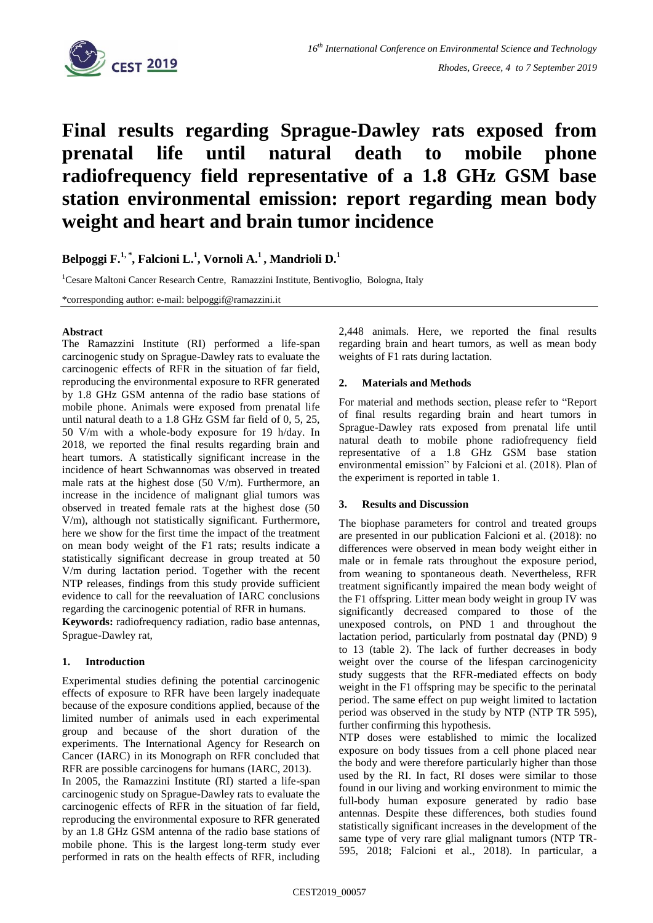

# **Final results regarding Sprague-Dawley rats exposed from prenatal life until natural death to mobile phone radiofrequency field representative of a 1.8 GHz GSM base station environmental emission: report regarding mean body weight and heart and brain tumor incidence**

**Belpoggi F. 1, \* , Falcioni L. 1 , Vornoli A. <sup>1</sup>, Mandrioli D. 1**

<sup>1</sup>Cesare Maltoni Cancer Research Centre, Ramazzini Institute, Bentivoglio, Bologna, Italy

\*corresponding author: e-mail: belpoggif@ramazzini.it

### **Abstract**

The Ramazzini Institute (RI) performed a life-span carcinogenic study on Sprague-Dawley rats to evaluate the carcinogenic effects of RFR in the situation of far field, reproducing the environmental exposure to RFR generated by 1.8 GHz GSM antenna of the radio base stations of mobile phone. Animals were exposed from prenatal life until natural death to a 1.8 GHz GSM far field of 0, 5, 25, 50 V/m with a whole-body exposure for 19 h/day. In 2018, we reported the final results regarding brain and heart tumors. A statistically significant increase in the incidence of heart Schwannomas was observed in treated male rats at the highest dose (50 V/m). Furthermore, an increase in the incidence of malignant glial tumors was observed in treated female rats at the highest dose (50 V/m), although not statistically significant. Furthermore, here we show for the first time the impact of the treatment on mean body weight of the F1 rats; results indicate a statistically significant decrease in group treated at 50 V/m during lactation period. Together with the recent NTP releases, findings from this study provide sufficient evidence to call for the reevaluation of IARC conclusions regarding the carcinogenic potential of RFR in humans.

**Keywords:** radiofrequency radiation, radio base antennas, Sprague-Dawley rat,

## **1. Introduction**

Experimental studies defining the potential carcinogenic effects of exposure to RFR have been largely inadequate because of the exposure conditions applied, because of the limited number of animals used in each experimental group and because of the short duration of the experiments. The International Agency for Research on Cancer (IARC) in its Monograph on RFR concluded that RFR are possible carcinogens for humans (IARC, 2013).

In 2005, the Ramazzini Institute (RI) started a life-span carcinogenic study on Sprague-Dawley rats to evaluate the carcinogenic effects of RFR in the situation of far field, reproducing the environmental exposure to RFR generated by an 1.8 GHz GSM antenna of the radio base stations of mobile phone. This is the largest long-term study ever performed in rats on the health effects of RFR, including

2,448 animals. Here, we reported the final results regarding brain and heart tumors, as well as mean body weights of F1 rats during lactation.

### **2. Materials and Methods**

For material and methods section, please refer to "Report of final results regarding brain and heart tumors in Sprague-Dawley rats exposed from prenatal life until natural death to mobile phone radiofrequency field representative of a 1.8 GHz GSM base station environmental emission" by Falcioni et al. (2018). Plan of the experiment is reported in table 1.

#### **3. Results and Discussion**

The biophase parameters for control and treated groups are presented in our publication Falcioni et al. (2018): no differences were observed in mean body weight either in male or in female rats throughout the exposure period, from weaning to spontaneous death. Nevertheless, RFR treatment significantly impaired the mean body weight of the F1 offspring. Litter mean body weight in group IV was significantly decreased compared to those of the unexposed controls, on PND 1 and throughout the lactation period, particularly from postnatal day (PND) 9 to 13 (table 2). The lack of further decreases in body weight over the course of the lifespan carcinogenicity study suggests that the RFR-mediated effects on body weight in the F1 offspring may be specific to the perinatal period. The same effect on pup weight limited to lactation period was observed in the study by NTP (NTP TR 595), further confirming this hypothesis.

NTP doses were established to mimic the localized exposure on body tissues from a cell phone placed near the body and were therefore particularly higher than those used by the RI. In fact, RI doses were similar to those found in our living and working environment to mimic the full-body human exposure generated by radio base antennas. Despite these differences, both studies found statistically significant increases in the development of the same type of very rare glial malignant tumors (NTP TR-595, 2018; Falcioni et al., 2018). In particular, a